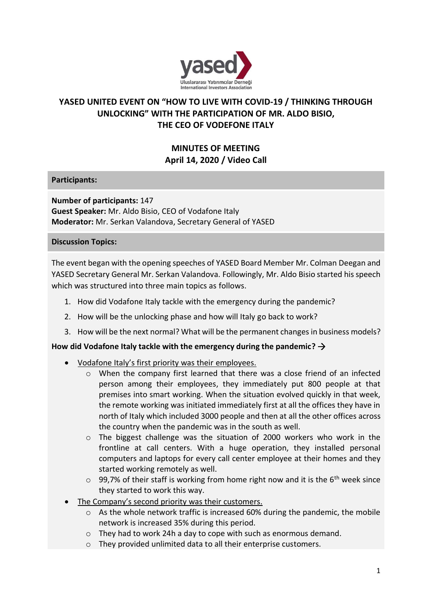

# **YASED UNITED EVENT ON "HOW TO LIVE WITH COVID-19 / THINKING THROUGH UNLOCKING" WITH THE PARTICIPATION OF MR. ALDO BISIO, THE CEO OF VODEFONE ITALY**

# **MINUTES OF MEETING April 14, 2020 / Video Call**

**Participants:**

**Number of participants:** 147 **Guest Speaker:** Mr. Aldo Bisio, CEO of Vodafone Italy **Moderator:** Mr. Serkan Valandova, Secretary General of YASED

#### **Discussion Topics:**

The event began with the opening speeches of YASED Board Member Mr. Colman Deegan and YASED Secretary General Mr. Serkan Valandova. Followingly, Mr. Aldo Bisio started his speech which was structured into three main topics as follows.

- 1. How did Vodafone Italy tackle with the emergency during the pandemic?
- 2. How will be the unlocking phase and how will Italy go back to work?
- 3. How will be the next normal? What will be the permanent changes in business models?

#### How did Vodafone Italy tackle with the emergency during the pandemic?  $\rightarrow$

- Vodafone Italy's first priority was their employees.
	- o When the company first learned that there was a close friend of an infected person among their employees, they immediately put 800 people at that premises into smart working. When the situation evolved quickly in that week, the remote working was initiated immediately first at all the offices they have in north of Italy which included 3000 people and then at all the other offices across the country when the pandemic was in the south as well.
	- $\circ$  The biggest challenge was the situation of 2000 workers who work in the frontline at call centers. With a huge operation, they installed personal computers and laptops for every call center employee at their homes and they started working remotely as well.
	- $\circ$  99,7% of their staff is working from home right now and it is the 6<sup>th</sup> week since they started to work this way.
- The Company's second priority was their customers.
	- $\circ$  As the whole network traffic is increased 60% during the pandemic, the mobile network is increased 35% during this period.
	- o They had to work 24h a day to cope with such as enormous demand.
	- o They provided unlimited data to all their enterprise customers.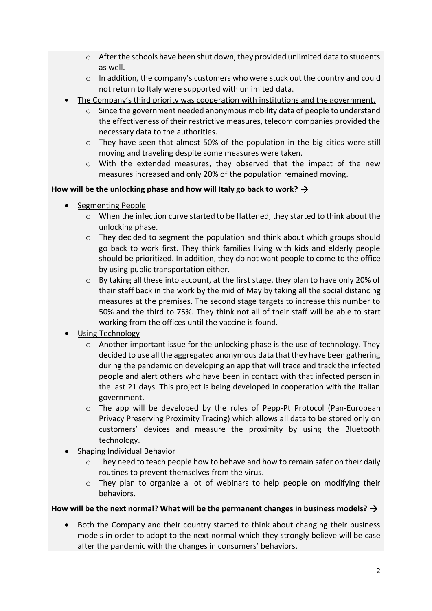- $\circ$  After the schools have been shut down, they provided unlimited data to students as well.
- $\circ$  In addition, the company's customers who were stuck out the country and could not return to Italy were supported with unlimited data.
- The Company's third priority was cooperation with institutions and the government.
	- o Since the government needed anonymous mobility data of people to understand the effectiveness of their restrictive measures, telecom companies provided the necessary data to the authorities.
	- $\circ$  They have seen that almost 50% of the population in the big cities were still moving and traveling despite some measures were taken.
	- o With the extended measures, they observed that the impact of the new measures increased and only 20% of the population remained moving.

### **How will be the unlocking phase and how will Italy go back to work?**

- Segmenting People
	- $\circ$  When the infection curve started to be flattened, they started to think about the unlocking phase.
	- $\circ$  They decided to segment the population and think about which groups should go back to work first. They think families living with kids and elderly people should be prioritized. In addition, they do not want people to come to the office by using public transportation either.
	- o By taking all these into account, at the first stage, they plan to have only 20% of their staff back in the work by the mid of May by taking all the social distancing measures at the premises. The second stage targets to increase this number to 50% and the third to 75%. They think not all of their staff will be able to start working from the offices until the vaccine is found.
- Using Technology
	- $\circ$  Another important issue for the unlocking phase is the use of technology. They decided to use all the aggregated anonymous data that they have been gathering during the pandemic on developing an app that will trace and track the infected people and alert others who have been in contact with that infected person in the last 21 days. This project is being developed in cooperation with the Italian government.
	- o The app will be developed by the rules of Pepp-Pt Protocol (Pan-European Privacy Preserving Proximity Tracing) which allows all data to be stored only on customers' devices and measure the proximity by using the Bluetooth technology.
- Shaping Individual Behavior
	- $\circ$  They need to teach people how to behave and how to remain safer on their daily routines to prevent themselves from the virus.
	- o They plan to organize a lot of webinars to help people on modifying their behaviors.

### **How will be the next normal? What will be the permanent changes in business models?**

• Both the Company and their country started to think about changing their business models in order to adopt to the next normal which they strongly believe will be case after the pandemic with the changes in consumers' behaviors.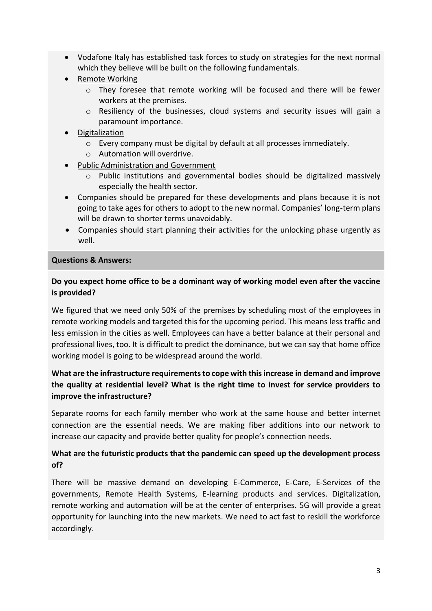- Vodafone Italy has established task forces to study on strategies for the next normal which they believe will be built on the following fundamentals.
- Remote Working
	- o They foresee that remote working will be focused and there will be fewer workers at the premises.
	- $\circ$  Resiliency of the businesses, cloud systems and security issues will gain a paramount importance.
- Digitalization
	- o Every company must be digital by default at all processes immediately.
	- o Automation will overdrive.
- Public Administration and Government
	- o Public institutions and governmental bodies should be digitalized massively especially the health sector.
- Companies should be prepared for these developments and plans because it is not going to take ages for others to adopt to the new normal. Companies' long-term plans will be drawn to shorter terms unavoidably.
- Companies should start planning their activities for the unlocking phase urgently as well.

#### **Questions & Answers:**

### **Do you expect home office to be a dominant way of working model even after the vaccine is provided?**

We figured that we need only 50% of the premises by scheduling most of the employees in remote working models and targeted this for the upcoming period. This means less traffic and less emission in the cities as well. Employees can have a better balance at their personal and professional lives, too. It is difficult to predict the dominance, but we can say that home office working model is going to be widespread around the world.

# **What are the infrastructure requirements to cope with this increase in demand and improve the quality at residential level? What is the right time to invest for service providers to improve the infrastructure?**

Separate rooms for each family member who work at the same house and better internet connection are the essential needs. We are making fiber additions into our network to increase our capacity and provide better quality for people's connection needs.

## **What are the futuristic products that the pandemic can speed up the development process of?**

There will be massive demand on developing E-Commerce, E-Care, E-Services of the governments, Remote Health Systems, E-learning products and services. Digitalization, remote working and automation will be at the center of enterprises. 5G will provide a great opportunity for launching into the new markets. We need to act fast to reskill the workforce accordingly.